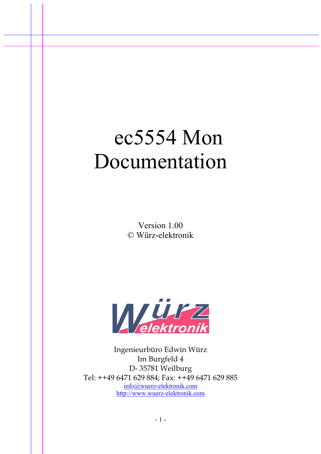# ec5554 Mon Documentation

Version 1.00 © Würz-elektronik



Ingenieurbüro Edwin Würz Im Burgfeld 4 D- 35781 Weilburg Tel: ++49 6471 629 884; Fax: ++49 6471 629 885 info@wuerz-elektronik.com http://www.wuerz-elektronik.com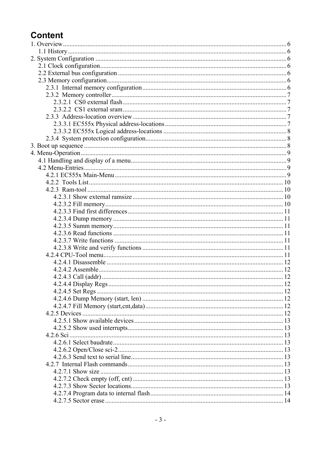# **Content**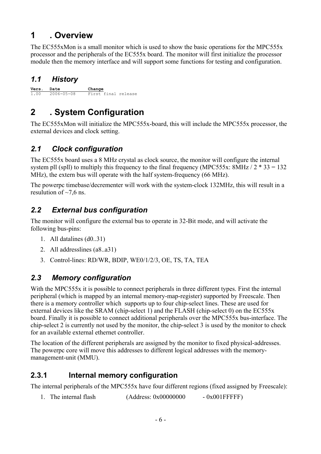# **1 . Overview**

The EC555xMon is a small monitor which is used to show the basic operations for the MPC555x processor and the peripherals of the EC555x board. The monitor will first initialize the processor module then the memory interface and will support some functions for testing and configuration.

# *1.1 History*

**Vers. Date Change** 1.00 2006-05-08 First final release

# **2 . System Configuration**

The EC555xMon will initialize the MPC555x-board, this will include the MPC555x processor, the external devices and clock setting.

# *2.1 Clock configuration*

The EC555x board uses a 8 MHz crystal as clock source, the monitor will configure the internal system pll (spll) to multiply this frequency to the final frequency (MPC555x:  $8MHz / 2 * 33 = 132$ MHz), the extern bus will operate with the half system-frequency (66 MHz).

The powerpc timebase/decrementer will work with the system-clock 132MHz, this will result in a resulution of  $\sim$ 7.6 ns.

# *2.2 External bus configuration*

The monitor will configure the external bus to operate in 32-Bit mode, and will activate the following bus-pins:

- 1. All datalines (d0..31)
- 2. All addresslines (a8..a31)
- 3. Control-lines: RD/WR, BDIP, WE0/1/2/3, OE, TS, TA, TEA

# *2.3 Memory configuration*

With the MPC555x it is possible to connect peripherals in three different types. First the internal peripheral (which is mapped by an internal memory-map-register) supported by Freescale. Then there is a memory controller which supports up to four chip-select lines. These are used for external devices like the SRAM (chip-select 1) and the FLASH (chip-select 0) on the EC555x board. Finally it is possible to connect additional peripherals over the MPC555x bus-interface. The chip-select 2 is currently not used by the monitor, the chip-select 3 is used by the monitor to check for an available external ethernet controller.

The location of the different peripherals are assigned by the monitor to fixed physical-addresses. The powerpc core will move this addresses to different logical addresses with the memorymanagement-unit (MMU).

# **2.3.1 Internal memory configuration**

The internal peripherals of the MPC555x have four different regions (fixed assigned by Freescale):

1. The internal flash  $(Address: 0x00000000 - 0x001FFFFF)$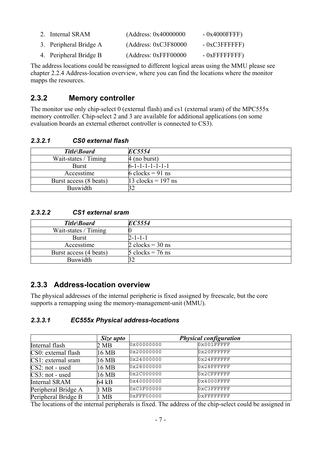| 2. Internal SRAM       | (Address: $0x40000000$ | $-0x4000$ FFFF $)$   |
|------------------------|------------------------|----------------------|
| 3. Peripheral Bridge A | (Address: 0xC3F80000   | $-0xC3$ FFFFFFF      |
| 4. Peripheral Bridge B | (Address: 0xFFF00000   | $-0x$ FFFFFFFFFF $)$ |

The address locations could be reassigned to different logical areas using the MMU please see chapter 2.2.4 Address-location overview, where you can find the locations where the monitor mapps the resources.

## **2.3.2 Memory controller**

The monitor use only chip-select 0 (external flash) and cs1 (external sram) of the MPC555x memory controller. Chip-select 2 and 3 are available for additional applications (on some evaluation boards an external ethernet controller is connected to CS3).

#### *2.3.2.1 CS0 external flash*

| Title\Board            | EC5554                               |
|------------------------|--------------------------------------|
| Wait-states / Timing   | $4$ (no burst)                       |
| <b>Burst</b>           | $6 - 1 - 1 - 1 - 1 - 1 - 1$          |
| Accesstime             | 6 clocks = 91 ns                     |
| Burst access (8 beats) | $13 \text{ clocks} = 197 \text{ ns}$ |
| <b>Buswidth</b>        |                                      |

#### *2.3.2.2 CS1 external sram*

| Title\Board            | EC5554                             |
|------------------------|------------------------------------|
| Wait-states / Timing   |                                    |
| <b>Burst</b>           | $2 - 1 - 1 - 1$                    |
| Accesstime             | 2 clocks = $30$ ns                 |
| Burst access (4 beats) | $5 \text{ clocks} = 76 \text{ ns}$ |
| <b>Buswidth</b>        |                                    |

## **2.3.3 Address-location overview**

The physical addresses of the internal peripherie is fixed assigned by freescale, but the core supports a remapping using the memory-management-unit (MMU).

#### *2.3.3.1 EC555x Physical address-locations*

|                       | Size upto      |            | <b>Physical configuration</b> |  |
|-----------------------|----------------|------------|-------------------------------|--|
| Internal flash        | 2 MB           | 0x00000000 | $0x001$ FFFFF                 |  |
| CS0: external flash   | 16 MB          | 0x20000000 | $0x20$ FFFFFFF                |  |
| $CS1$ : external sram | 16 MB          | 0x24000000 | $0x24$ FFFFFFF                |  |
| $CS2$ : not - used    | 16 MB          | 0x28000000 | $0x28$ FFFFFFF                |  |
| $CS3$ : not - used    | 16 MB          | 0x2C000000 | 0x2CFFFFFF                    |  |
| <b>Internal SRAM</b>  | 64 kB          | 0x40000000 | $0x4000$ FFFF                 |  |
| Peripheral Bridge A   | $1 \text{ MB}$ | 0xC3F00000 | 0xC3FFFFFFF                   |  |
| Peripheral Bridge B   | 1 MB           | 0xFFF00000 | $0x$ FFFFFFFFF                |  |

The locations of the internal peripherals is fixed. The address of the chip-select could be assigned in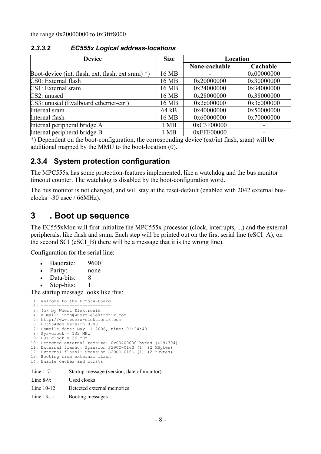the range 0x20000000 to 0x3fff8000.

| <b>Device</b>                                     | <b>Size</b>    | Location      |            |  |
|---------------------------------------------------|----------------|---------------|------------|--|
|                                                   |                | None-cachable | Cachable   |  |
| Boot-device (int. flash, ext. flash, ext sram) *) | 16 MB          |               | 0x00000000 |  |
| CS0: External flash                               | 16 MB          | 0x20000000    | 0x30000000 |  |
| CS1: External sram                                | 16 MB          | 0x24000000    | 0x34000000 |  |
| $CS2:$ unused                                     | 16 MB          | 0x28000000    | 0x38000000 |  |
| CS3: unused (Evalboard ethernet-ctrl)             | 16 MB          | 0x2c000000    | 0x3c000000 |  |
| Internal sram                                     | 64 kB          | 0x40000000    | 0x50000000 |  |
| Internal flash                                    | 16 MB          | 0x60000000    | 0x70000000 |  |
| Internal peripheral bridge A                      | $1 \text{ MB}$ | 0xC3F00000    |            |  |
| Internal peripheral bridge B                      | 1 MB           | 0xFFF00000    |            |  |

#### *2.3.3.2 EC555x Logical address-locations*

\*) Dependent on the boot-configuration, the corresponding device (ext/int flash, sram) will be additional mapped by the MMU to the boot-location (0).

## **2.3.4 System protection configuration**

The MPC555x has some protection-features implemented, like a watchdog and the bus monitor timeout counter. The watchdog is disabled by the boot-configuration word.

The bus monitor is not changed, and will stay at the reset-default (enabled with 2042 external busclocks  $\sim$ 30 usec / 66MHz).

# **3 . Boot up sequence**

The EC555xMon will first initialize the MPC555x processor (clock, interrupts, ...) and the external peripherals, like flash and sram. Each step will be printed out on the first serial line (eSCI\_A), on the second SCI (eSCI\_B) there will be a message that it is the wrong line).

Configuration for the serial line:

- Baudrate: 9600
- Parity: none
- Data-bits: 8
- Stop-bits: 1

The startup message looks like this:

```
 1: Welcome to the EC5554-Board
 2: ===========================
 3: (c) by Wuerz Elektronik
  4: e-mail: info@wuerz-elektronik.com
  5: http://www.wuerz-elektronik.com
  6: EC5554Mon Version 0.08
  7: Compile-date: May 1 2006, time: 01:24:48
 8: Sys-clock = 132 MHz
 9: Bus-clock = 66 MHz
10: Detected external ramsize: 0x00400000 bytes (4194304)
11: External flash0: Spansion S29CD-016G (1) (2 MBytes)
12: External flash1: Spansion S29CD-016G (1) (2 MBytes)
13: Booting from external flash
14: Enable caches and bursts
Line 1-7: Startup-message (version, date of monitor)
```
- Line 8-9: Used clocks
- Line 10-12: Detected external memories
- Line 13-..: Booting messages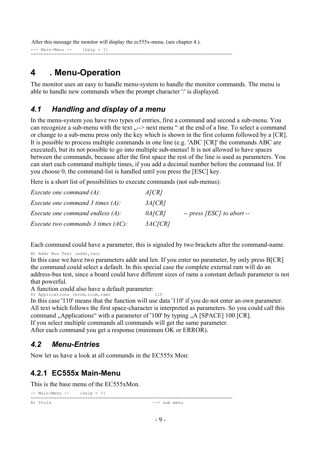After this message the monitor will display the ec555x-menu. (see chapter 4.).

 $---$  Main-Menu  $---$  {help = ?} ==============================================================================

# **4 . Menu-Operation**

The monitor uses an easy to handle menu-system to handle the monitor commands. The menu is able to handle new commands when the prompt character ':' is displayed.

## *4.1 Handling and display of a menu*

In the menu-system you have two types of entries, first a command and second a sub-menu. You can recognize a sub-menu with the text  $\sim$ -> next menu " at the end of a line. To select a command or change to a sub-menu press only the key which is shown in the first column followed by a [CR]. It is possible to process multiple commands in one line (e.g. 'ABC [CR]' the commands ABC are executed), but its not possible to go into multiple sub-menus! It is not allowed to have spaces between the commands, because after the first space the rest of the line is used as parameters. You can start each command multiple times, if you add a decimal number before the command list. If you choose 0, the command-list is handled until you press the [ESC] key.

Here is a short list of possibilities to execute commands (not sub-menus):

| <i>Execute one command <math>(A)</math>:</i>           | A/CR   |                              |
|--------------------------------------------------------|--------|------------------------------|
| <i>Execute one command 3 times (A):</i>                | 3A/CR  |                              |
| <i>Execute one command endless <math>(A)</math>:</i>   | 0A/CR  | $-$ press [ESC] to abort $-$ |
| <i>Execute two commands 3 times <math>(AC)</math>:</i> | 3AC/CR |                              |

Each command could have a parameter, this is signaled by two brackets after the command-name.

B) Addr Bus Test (addr, len)

In this case we have two parameters addr and len. If you enter no parameter, by only press B[CR] the command could select a default. In this special case the complete external ram will do an address-bus test, since a board could have different sizes of rams a constant default parameter is not that powerful.

A function could also have a default parameter:

D) Applications (erom, irom, ram) 110

In this case '110' means that the function will use data '110' if you do not enter an own parameter. All text which follows the first space-character is interpreted as parameters. So you could call this command "Applications" with a parameter of '100' by typing  $.A$  [SPACE] 100 [CR]. If you select multiple commands all commands will get the same parameter.

After each command you get a response (minimum OK or ERROR).

## *4.2 Menu-Entries*

Now let us have a look at all commands in the EC555x Mon:

## **4.2.1 EC555x Main-Menu**

This is the base menu of the EC555xMon.

```
-- Main-Menu -- {help = ?}
==============================================================================
                                               -> sub menu
```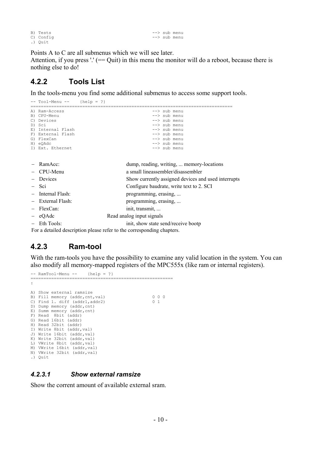B) Tests --> sub menu<br>
C) Config --> sub menu .) Quit

 $\leftarrow$  sub menu

Points A to C are all submenus which we will see later.

Attention, if you press  $\cdot$  (== Quit) in this menu the monitor will do a reboot, because there is nothing else to do!

#### **4.2.2 Tools List**

In the tools-menu you find some additional submenus to access some support tools.

```
-- Tool-Menu -- {help = ?}
                                                             ==============================================================================
A) Ram-Access
B) CPU-Menu<br>
C) Devices<br>
C) Devices<br>
B and the submenu --> submenu --> submenu --> submenu --> submenu --> submenu --> submenu --> submenu --> submenu --> submenu --> submenu --> submenu --> submenu --> submenu --> submenu
                                                             --> sub menu
D) Sci --> sub menu
E) Internal Flash -> sub menu<br>
F) External Flash -> sub menu
F) External Flash<br>G) FlexCan
G) FlexCan - > sub menu \Rightarrow sub menu \Rightarrow sub menu \Rightarrow sub menu \Rightarrow sub menu \Rightarrow sub menu \Rightarrow sub menu \Rightarrow sub menu \Rightarrow sub menu \Rightarrow sub menu \Rightarrow sub menu \Rightarrow sub menu \Rightarrow sub menu \Rightarrow sub menu \Rightarrow sub menu
                                                              \leftarrow > sub menu<br>\leftarrow > sub menu
I) Ext. Ethernet
− RamAcc: dump, reading, writing, ... memory-locations
− CPU-Menu a small lineassembler/disassembler
− Devices Show currently assigned devices and used interrupts
− Sci Configure baudrate, write text to 2. SCI
− Internal Flash: programming, erasing, ...
− External Flash: programming, erasing, ...
− FlexCan: init, transmit, ...
− eQAdc Read analog input signals
− Eth Tools: init, show state send/receive bootp
For a detailed description please refer to the corresponding chapters.
```
## **4.2.3 Ram-tool**

With the ram-tools you have the possibility to examine any valid location in the system. You can also modify all memory-mapped registers of the MPC555x (like ram or internal registers).

```
-- RamTool-Menu -- {help = ?}
                                  =======================================================
:
A) Show external ramsize
B) Fill memory (addr,cnt,val) 0 0 0 0
C) Find 1. diff (addr1,addr2) 0 1
D) Dump memory (addr, cnt)
E) Summ memory (addr, cnt)
F) Read 8bit (addr)
G) Read 16bit (addr)
H) Read 32bit (addr)
I) Write 8bit (addr, val)
J) Write 16bit (addr, val)
K) Write 32bit (addr, val)
L) VWrite 8bit (addr, val)
M) VWrite 16bit (addr,val)
N) VWrite 32bit (addr,val)
.) Quit
```
#### *4.2.3.1 Show external ramsize*

Show the corrent amount of available external sram.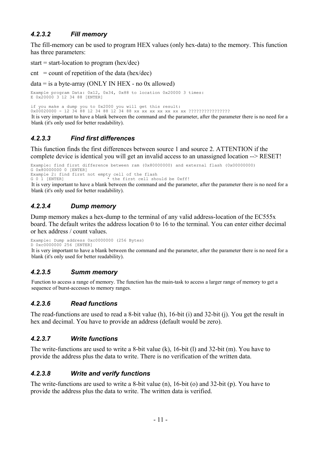## *4.2.3.2 Fill memory*

The fill-memory can be used to program HEX values (only hex-data) to the memory. This function has three parameters:

start = start-location to program (hex/dec)

 $\text{cnt} = \text{count of repetition of the data (hex/dec)}$ 

 $data = is a byte-array (ONLY IN HEX - no 0x allowed)$ 

Example program Data: 0x12, 0x34, 0x88 to location 0x20000 3 times: E 0x20000 3 12 34 88 [ENTER]

if you make a dump you to 0x2000 you will get this result:

0x00020000 - 12 34 88 12 34 88 12 34 88 xx xx xx xx xx xx xx ???????????????? It is very important to have a blank between the command and the parameter, after the parameter there is no need for a blank (it's only used for better readability).

## *4.2.3.3 Find first differences*

This function finds the first differences between source 1 and source 2. ATTENTION if the complete device is identical you will get an invalid access to an unassigned location --> RESET!

Example: find first difference between ram (0x80000000) and external flash (0x00000000) G 0x80000000 0 [ENTER] Example 2: find first not empty cell of the flash<br> $G = 0$  1 [ENTER]<br> $*$  the first cell sho the first cell should be 0xff!

It is very important to have a blank between the command and the parameter, after the parameter there is no need for a blank (it's only used for better readability).

## *4.2.3.4 Dump memory*

Dump memory makes a hex-dump to the terminal of any valid address-location of the EC555x board. The default writes the address location 0 to 16 to the terminal. You can enter either decimal or hex address / count values.

Example: Dump address 0xc0000000 (256 Bytes) D 0xc0000000 256 [ENTER]

It is very important to have a blank between the command and the parameter, after the parameter there is no need for a blank (it's only used for better readability).

#### *4.2.3.5 Summ memory*

Function to access a range of memory. The function has the main-task to access a larger range of memory to get a sequence of burst-accesses to memory ranges.

#### *4.2.3.6 Read functions*

The read-functions are used to read a 8-bit value (h), 16-bit (i) and 32-bit (j). You get the result in hex and decimal. You have to provide an address (default would be zero).

#### *4.2.3.7 Write functions*

The write-functions are used to write a 8-bit value (k), 16-bit (l) and 32-bit (m). You have to provide the address plus the data to write. There is no verification of the written data.

#### *4.2.3.8 Write and verify functions*

The write-functions are used to write a 8-bit value (n), 16-bit (o) and 32-bit (p). You have to provide the address plus the data to write. The written data is verified.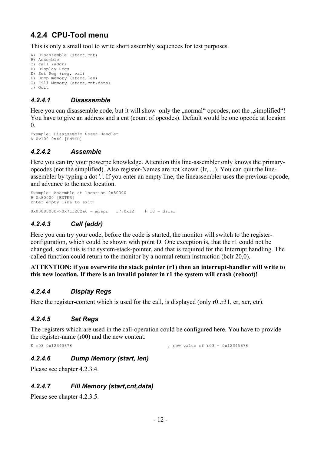# **4.2.4 CPU-Tool menu**

This is only a small tool to write short assembly sequences for test purposes.

```
A) Disassemble (start,cnt)
B) Assemble
C) call (addr)
D) Display Regs
E) Set Reg (reg, val)
F) Dump memory (start, len)
G) Fill Memory (start, cnt, data)
.) Quit
```
## *4.2.4.1 Disassemble*

Here you can disassemble code, but it will show only the "normal" opcodes, not the "simplified"! You have to give an address and a cnt (count of opcodes). Default would be one opcode at locaion  $\theta$ .

```
Example: Disassemble Reset-Handler
A 0x100 0x40 [ENTER]
```
## *4.2.4.2 Assemble*

Here you can try your powerpc knowledge. Attention this line-assembler only knows the primaryopcodes (not the simplified). Also register-Names are not known (lr, ...). You can quit the lineassembler by typing a dot '.'. If you enter an empty line, the lineassembler uses the previous opcode, and advance to the next location.

```
Example: Assemble at location 0x80000
B 0x80000 [ENTER]
Enter empty line to exit!
```
 $0x00080000 -> 0x7cf202a6 = mfspr$  r7,0x12 # 18 = dsisr

## *4.2.4.3 Call (addr)*

Here you can try your code, before the code is started, the monitor will switch to the registerconfiguration, which could be shown with point D. One exception is, that the r1 could not be changed, since this is the system-stack-pointer, and that is required for the Interrupt handling. The called function could return to the monitor by a normal return instruction (bclr 20,0).

#### **ATTENTION: if you overwrite the stack pointer (r1) then an interrupt-handler will write to this new location. If there is an invalid pointer in r1 the system will crash (reboot)!**

#### *4.2.4.4 Display Regs*

Here the register-content which is used for the call, is displayed (only r0..r31, cr, xer, ctr).

#### *4.2.4.5 Set Regs*

The registers which are used in the call-operation could be configured here. You have to provide the register-name (r00) and the new content.

E r03 0x12345678 ; new value of r03 = 0x12345678

## *4.2.4.6 Dump Memory (start, len)*

Please see chapter 4.2.3.4.

#### *4.2.4.7 Fill Memory (start,cnt,data)*

Please see chapter 4.2.3.5.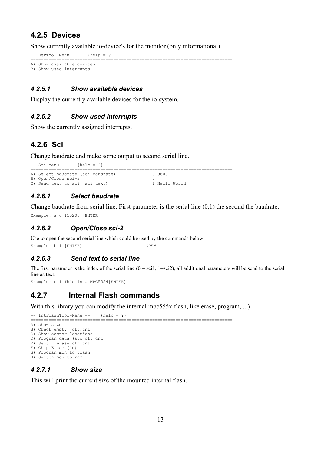## **4.2.5 Devices**

Show currently available io-device's for the monitor (only informational).

```
-- DevTool-Menu -- {help = ?}
==============================================================================
A) Show available devices
```

```
B) Show used interrupts
```
#### *4.2.5.1 Show available devices*

Display the currently available devices for the io-system.

#### *4.2.5.2 Show used interrupts*

Show the currently assigned interrupts.

## **4.2.6 Sci**

Change baudrate and make some output to second serial line.

```
-- Sci-Menu -- {help = ?}
==============================================================================
A) Select baudrate (sci baudrate) 0 9600
A) Select baudrate (sci baudrate) 0 9600<br>
B) Open/Close sci-2 0<br>
C) Send text to sci (sci text) 1 Hello World!
C) Send text to sci (sci text)
```
## *4.2.6.1 Select baudrate*

Change baudrate from serial line. First parameter is the serial line (0,1) the second the baudrate.

Example: a 0 115200 [ENTER]

#### *4.2.6.2 Open/Close sci-2*

Use to open the second serial line which could be used by the commands below. Example: b 1 [ENTER] *OPEN*

#### *4.2.6.3 Send text to serial line*

The first parameter is the index of the serial line  $(0 = \text{sci } 1, 1 = \text{ sci } 2)$ , all additional parameters will be send to the serial line as text.

Example: c 1 This is a MPC5554[ENTER]

## **4.2.7 Internal Flash commands**

With this library you can modify the internal mpc555x flash, like erase, program, ...)

-- IntFlashTool-Menu -- {help = ?} ============================================================================== A) show size B) Check empty (off, cnt) C) Show sector lcoations D) Program data (src off cnt) E) Sector erase(off cnt) F) Chip Erase (id) G) Program mon to flash H) Switch mon to ram

#### *4.2.7.1 Show size*

This will print the current size of the mounted internal flash.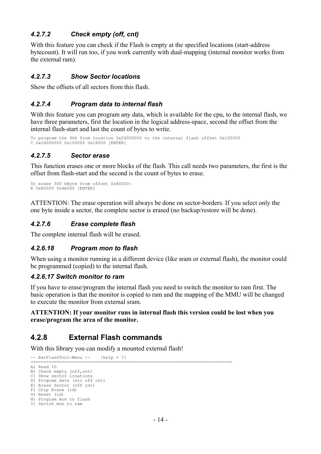## *4.2.7.2 Check empty (off, cnt)*

With this feature you can check if the Flash is empty at the specified locations (start-address) bytecount). It will run too, if you work currently with dual-mapping (internal monitor works from the external ram).

#### *4.2.7.3 Show Sector locations*

Show the offsets of all sectors from this flash.

#### *4.2.7.4 Program data to internal flash*

With this feature you can program any data, which is available for the cpu, to the internal flash, we have three parameters, first the location in the logical address-space, second the offset from the internal flash-start and last the count of bytes to write.

To program the 96k from location 0x24000000 to the internal flash offset 0x100000 C 0x24000000 0x100000 0x18000 [ENTER]

#### *4.2.7.5 Sector erase*

This function erases one or more blocks of the flash. This call needs two parameters, the first is the offset from flash-start and the second is the count of bytes to erase.

```
To erase 300 kByte from offset 0x80000:
E 0x80000 0x4b000 [ENTER]
```
ATTENTION: The erase operation will always be done on sector-borders. If you select only the one byte inside a sector, the complete sector is erased (no backup/restore will be done).

#### *4.2.7.6 Erase complete flash*

The complete internal flash will be erased.

#### *4.2.6.18 Program mon to flash*

When using a monitor running in a different device (like sram or external flash), the monitor could be programmed (copied) to the internal flash.

#### *4.2.6.17 Switch monitor to ram*

If you have to erase/program the internal flash you need to switch the monitor to ram first. The basic operation is that the monitor is copied to ram and the mapping of the MMU will be changed to execute the monitor from external sram.

#### **ATTENTION: If your monitor runs in internal flash this version could be lost when you erase/program the area of the monitor.**

## **4.2.8 External Flash commands**

With this library you can modify a mounted external flash!

-- ExtFlashTool-Menu -- {help = ?} ============================================================================== A) Read ID B) Check empty (off,cnt) C) Show sector lcoations D) Program data (src off cnt) E) Erase Sector (off cnt) F) Chip Erase (id) G) Reset (id) H) Program mon to flash I) Switch mon to ram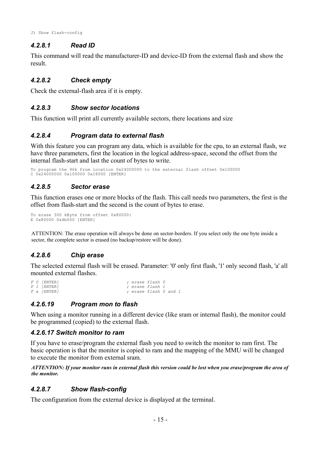#### *4.2.8.1 Read ID*

This command will read the manufacturer-ID and device-ID from the external flash and show the result.

#### *4.2.8.2 Check empty*

Check the external-flash area if it is empty.

#### *4.2.8.3 Show sector locations*

This function will print all currently available sectors, there locations and size

#### *4.2.8.4 Program data to external flash*

With this feature you can program any data, which is available for the cpu, to an external flash, we have three parameters, first the location in the logical address-space, second the offset from the internal flash-start and last the count of bytes to write.

To program the 96k from location 0x24000000 to the external flash offset 0x100000 C 0x24000000 0x100000 0x18000 [ENTER]

#### *4.2.8.5 Sector erase*

This function erases one or more blocks of the flash. This call needs two parameters, the first is the offset from flash-start and the second is the count of bytes to erase.

```
To erase 300 kByte from offset 0x80000:
E 0x80000 0x4b000 [ENTER]
```
ATTENTION: The erase operation will always be done on sector-borders. If you select only the one byte inside a sector, the complete sector is erased (no backup/restore will be done).

#### *4.2.8.6 Chip erase*

The selected external flash will be erased. Parameter: '0' only first flash, '1' only second flash, 'a' all mounted external flashes.

*F 0 [ENTER] ; erase flash 0 F 1 [ENTER] ; erase flash 1 F a [ENTER] ; erase flash 0 and 1*

#### *4.2.6.19 Program mon to flash*

When using a monitor running in a different device (like sram or internal flash), the monitor could be programmed (copied) to the external flash.

#### *4.2.6.17 Switch monitor to ram*

If you have to erase/program the external flash you need to switch the monitor to ram first. The basic operation is that the monitor is copied to ram and the mapping of the MMU will be changed to execute the monitor from external sram.

*ATTENTION: If your monitor runs in external flash this version could be lost when you erase/program the area of the monitor.*

#### *4.2.8.7 Show flash-config*

The configuration from the external device is displayed at the terminal.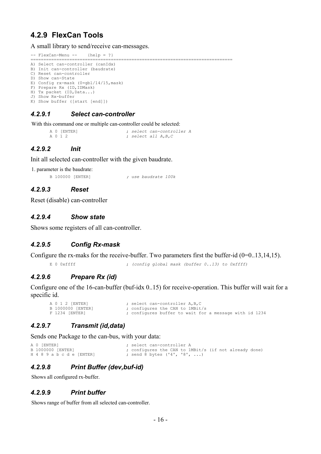## **4.2.9 FlexCan Tools**

A small library to send/receive can-messages.

```
-- FlexCan-Menu -- {help = ?}
                                                         ==============================================================================
A) Select can-controller (canIdx)
B) Init can-controller (baudrate)
C) Reset can-controller
D) Show can-State
```

```
E) Config rx-mask (0=gbl/14/15,mask)
```

```
F) Prepare Rx (ID,IDMask)
H) Tx packet (ID, Data...)
```

```
J) Show Rx-buffer
```

```
K) Show buffer ([start [end]])
```
#### *4.2.9.1 Select can-controller*

With this command one or multiple can-controller could be selected:

```
A 0 [ENTER] ; select can-controller A
                         A 0 1 2 ; select all A,B,C
```
## *4.2.9.2 Init*

Init all selected can-controller with the given baudrate.

1. parameter is the baudrate:

```
B 100000 [ENTER] ; use baudrate 100k
```
*4.2.9.3 Reset*

Reset (disable) can-controller

#### *4.2.9.4 Show state*

Shows some registers of all can-controller.

#### *4.2.9.5 Config Rx-mask*

Configure the rx-maks for the receive-buffer. Two parameters first the buffer-id  $(0=0..13,14,15)$ .

E 0 0xffff *f*  $\left( \text{config global mask (buffer 0.13) to 0xffff} \right)$ 

#### *4.2.9.6 Prepare Rx (id)*

Configure one of the 16-can-buffer (buf-idx 0..15) for receive-operation. This buffer will wait for a specific id.

```
A 0 1 2 [ENTER] ; select can-controller A, B, C<br>B 1000000 [ENTER] ; configures the CAN to 1MBit
B 1000000 [ENTER] ; configures the CAN to 1MBit/s<br>F 1234 [ENTER] ; configures buffer to wait for
                                          ; configures buffer to wait for a message with id 1234
```
#### *4.2.9.7 Transmit (id,data)*

Sends one Package to the can-bus, with your data:

```
A 0 [ENTER] <br>
B 1000000 [ENTER] <br>
\begin{array}{ccc} \cdot & \cdot & \cdot \\ \cdot & \cdot & \cdot \\ \cdot & \cdot & \cdot \\ \cdot & \cdot & \cdot \\ \end{array} select can-controller A
B 1000000 [ENTER] \qquad \qquad ; configures the CAN to 1MBit/s (if not already done)
H 4 8 9 a b c d e [ENTER] ; send 8 bytes ('4', '8', ...)
```
## *4.2.9.8 Print Buffer (dev,buf-id)*

Shows all configured rx-buffer.

#### *4.2.9.9 Print buffer*

Shows range of buffer from all selected can-controller.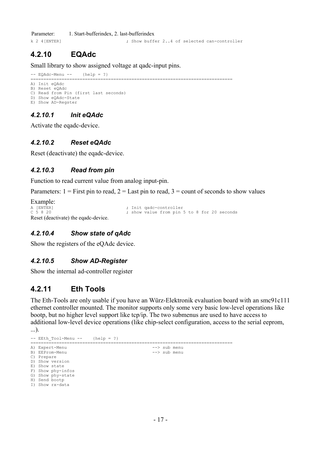Parameter: 1. Start-bufferindex, 2. last-bufferindex k 2 4[ENTER] ; Show buffer 2..4 of selected can-controller

# **4.2.10 EQAdc**

Small library to show assigned voltage at qadc-input pins.

```
-- EQAdc-Menu -- {help = ?}
                                                                                                               ==============================================================================
```

```
A) Init eQAdc
B) Reset eQAdc
C) Read from Pin (first last seconds)
D) Show eQAdc-State
E) Show AD-Regster
```
## *4.2.10.1 Init eQAdc*

Activate the eqadc-device.

#### *4.2.10.2 Reset eQAdc*

Reset (deactivate) the eqadc-device.

#### *4.2.10.3 Read from pin*

Function to read current value from analog input-pin.

Parameters:  $1 =$  First pin to read,  $2 =$  Last pin to read,  $3 =$  count of seconds to show values

```
Example:<br>A [ENTER]<br>C 5 8 20
                                                   ; Init qadc-controller
                                                   \frac{1}{x} show value from pin 5 to 8 for 20 seconds
Reset (deactivate) the eqadc-device.
```
#### *4.2.10.4 Show state of qAdc*

Show the registers of the eQAdc device.

#### *4.2.10.5 Show AD-Register*

Show the internal ad-controller register

## **4.2.11 Eth Tools**

The Eth-Tools are only usable if you have an Würz-Elektronik evaluation board with an smc91c111 ethernet controller mounted. The monitor supports only some very basic low-level operations like bootp, but no higher level support like tcp/ip. The two submenus are used to have access to additional low-level device operations (like chip-select configuration, access to the serial eeprom,

```
...).
-- EEth Tool-Menu -- {help = ?}
==============================================================================
A) Expert-Menu --> sub menu
B) EEProm-Menu
C) Prepare
D) Show version
E) Show state
F) Show phy-infos
G) Show phy-state
H) Send bootp
I) Show rx-data
```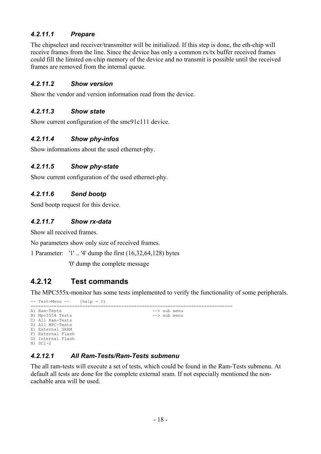## *4.2.11.1 Prepare*

The chipselect and receiver/transmitter will be initialized. If this step is done, the eth-chip will receive frames from the line. Since the device has only a common rx/tx buffer received frames could fill the limited on-chip memory of the device and no transmit is possible until the received frames are removed from the internal queue.

## *4.2.11.2 Show version*

Show the vendor and version information read from the device.

#### *4.2.11.3 Show state*

Show current configuration of the smc91c111 device.

## *4.2.11.4 Show phy-infos*

Show informations about the used ethernet-phy.

## *4.2.11.5 Show phy-state*

Show current configuration of the used ethernet-phy.

## *4.2.11.6 Send bootp*

Send bootp request for this device.

## *4.2.11.7 Show rx-data*

Show all received frames.

No parameters show only size of received frames.

1 Parameter: '1' .. '4' dump the first (16,32,64,128) bytes

'0' dump the complete message

## **4.2.12 Test commands**

The MPC555x-monitor has some tests implemented to verify the functionality of some peripherals.

```
-- Test-Menu -- {help = ?}
==============================================================================
                                                           \begin{array}{l} --> \text{sub menu} \\ \text{--> sub menu} \end{array}B) Mpc5554 Tests
C) All Ram-Tests
D) All MPC-Tests
E) External SRAM
F) External Flash
G) Internal Flash
H) SCI-2
```
## *4.2.12.1 All Ram-Tests/Ram-Tests submenu*

The all ram-tests will execute a set of tests, which could be found in the Ram-Tests submenu. At default all tests are done for the complete external sram. If not especially mentioned the noncachable area will be used.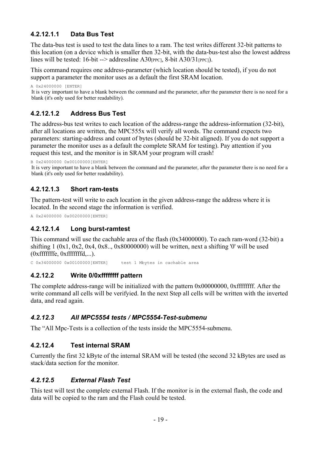## **4.2.12.1.1 Data Bus Test**

The data-bus test is used to test the data lines to a ram. The test writes different 32-bit patterns to this location (on a device which is smaller then 32-bit, with the data-bus-test also the lowest address lines will be tested: 16-bit --> addressline A30<sup>[PPC]</sup>, 8-bit A30/31<sup>[PPC]</sup>).

This command requires one address-parameter (which location should be tested), if you do not support a parameter the monitor uses as a default the first SRAM location.

A 0x24000000 [ENTER]

It is very important to have a blank between the command and the parameter, after the parameter there is no need for a blank (it's only used for better readability).

## **4.2.12.1.2 Address Bus Test**

The address-bus test writes to each location of the address-range the address-information (32-bit), after all locations are written, the MPC555x will verify all words. The command expects two parameters: starting-address and count of bytes (should be 32-bit aligned). If you do not support a parameter the monitor uses as a default the complete SRAM for testing). Pay attention if you request this test, and the monitor is in SRAM your program will crash!

B 0x24000000 0x00100000[ENTER]

It is very important to have a blank between the command and the parameter, after the parameter there is no need for a blank (it's only used for better readability).

## **4.2.12.1.3 Short ram-tests**

The pattern-test will write to each location in the given address-range the address where it is located. In the second stage the information is verified.

A 0x24000000 0x00200000[ENTER]

## **4.2.12.1.4 Long burst-ramtest**

This command will use the cachable area of the flash (0x34000000). To each ram-word (32-bit) a shifting  $1 (0x1, 0x2, 0x4, 0x8, 0x80000000)$  will be written, next a shifting '0' will be used (0xfffffffe, 0xfffffffd,...).

C 0x34000000 0x00100000[ENTER] test 1 Mbytes in cachable area

## **4.2.12.2 Write 0/0xffffffff pattern**

The complete address-range will be initialized with the pattern 0x00000000, 0xffffffff. After the write command all cells will be verifyied. In the next Step all cells will be written with the inverted data, and read again.

## *4.2.12.3 All MPC5554 tests / MPC5554-Test-submenu*

The "All Mpc-Tests is a collection of the tests inside the MPC5554-submenu.

## **4.2.12.4 Test internal SRAM**

Currently the first 32 kByte of the internal SRAM will be tested (the second 32 kBytes are used as stack/data section for the monitor.

## *4.2.12.5 External Flash Test*

This test will test the complete external Flash. If the monitor is in the external flash, the code and data will be copied to the ram and the Flash could be tested.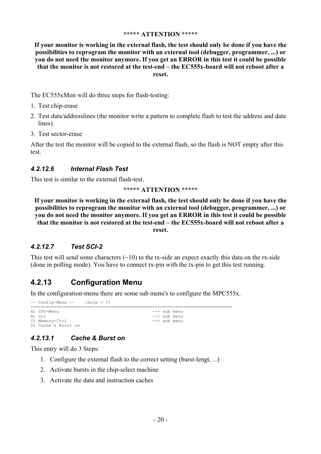#### **\*\*\*\*\* ATTENTION \*\*\*\*\***

**If your monitor is working in the external flash, the test should only be done if you have the possibilities to reprogram the monitor with an external tool (debugger, programmer, ...) or you do not need the monitor anymore. If you get an ERROR in this test it could be possible that the monitor is not restored at the test-end – the EC555x-board will not reboot after a reset.**

The EC555xMon will do three steps for flash-testing:

- 1. Test chip-erase
- 2. Test data/addresslines (the monitor write a pattern to complete flash to test the address and data lines).
- 3. Test sector-erase

After the test the monitor will be copied to the external flash, so the flash is NOT empty after this test.

## *4.2.12.6 Internal Flash Test*

This test is similar to the external flash-test.

#### **\*\*\*\*\* ATTENTION \*\*\*\*\***

**If your monitor is working in the external flash, the test should only be done if you have the possibilities to reprogram the monitor with an external tool (debugger, programmer, ...) or you do not need the monitor anymore. If you get an ERROR in this test it could be possible that the monitor is not restored at the test-end – the EC555x-board will not reboot after a reset.**

## *4.2.12.7 Test SCI-2*

This test will send some characters  $(\sim 10)$  to the tx-side an expect exactly this data on the rx-side (done in polling mode). You have to connect rx-pin with the tx-pin to get this test running.

## **4.2.13 Configuration Menu**

In the configuration-menu there are some sub menu's to configure the MPC555x.

 $--$  Config-Menu  $--$  {help = ?} ============================================================================== A) CPU-Menu  $-$ > sub menu B) Sci  $\leftarrow >$  sub menu<br> $\leftarrow >$  sub menu C) Memory-Ctrl D) Cache & Burst on

## *4.2.13.1 Cache & Burst on*

This entry will do 3 Steps:

- 1. Configure the external flash to the correct setting (burst-lengt, ...)
- 2. Activate bursts in the chip-select machine
- 3. Activate the data and instruction caches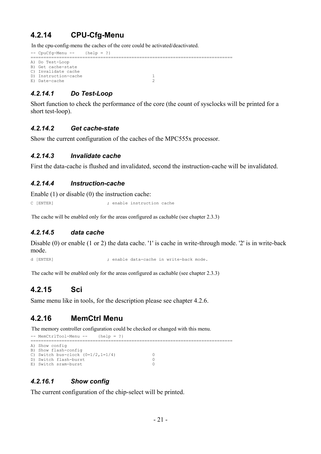## **4.2.14 CPU-Cfg-Menu**

In the cpu-config-menu the caches of the core could be activated/deactivated.

```
-- CpuCfg-Menu -- {help = ?}
                                        ==============================================================================
A) Do Test-Loop
B) Get cache-state
C) Invalidate cache
D) Instruction-cache 1<br>
E) Date-cache 2
E) Date-cache
```
## *4.2.14.1 Do Test-Loop*

Short function to check the performance of the core (the count of sysclocks will be printed for a short test-loop).

#### *4.2.14.2 Get cache-state*

Show the current configuration of the caches of the MPC555x processor.

#### *4.2.14.3 Invalidate cache*

First the data-cache is flushed and invalidated, second the instruction-cache will be invalidated.

#### *4.2.14.4 Instruction-cache*

Enable (1) or disable (0) the instruction cache:

C [ENTER] ; enable instruction cache

The cache will be enabled only for the areas configured as cachable (see chapter 2.3.3)

#### *4.2.14.5 data cache*

Disable (0) or enable (1 or 2) the data cache. '1' is cache in write-through mode. '2' is in write-back mode.

d [ENTER] ; enable data-cache in write-back mode.

The cache will be enabled only for the areas configured as cachable (see chapter 2.3.3)

## **4.2.15 Sci**

Same menu like in tools, for the description please see chapter 4.2.6.

## **4.2.16 MemCtrl Menu**

The memory controller configuration could be checked or changed with this menu.

```
-- MemCtrlTool-Menu -- {help = ?}
                                                                          ==============================================================================
A) Show config
B) Show flash-config
C) Switch bus-clock (0=1/2,1=1/4) 0<br>
D) Switch flash-burst 0
D) Switch flash-burst 0<br>
E) Switch sram-burst 0
E) Switch sram-burst
```
#### *4.2.16.1 Show config*

The current configuration of the chip-select will be printed.